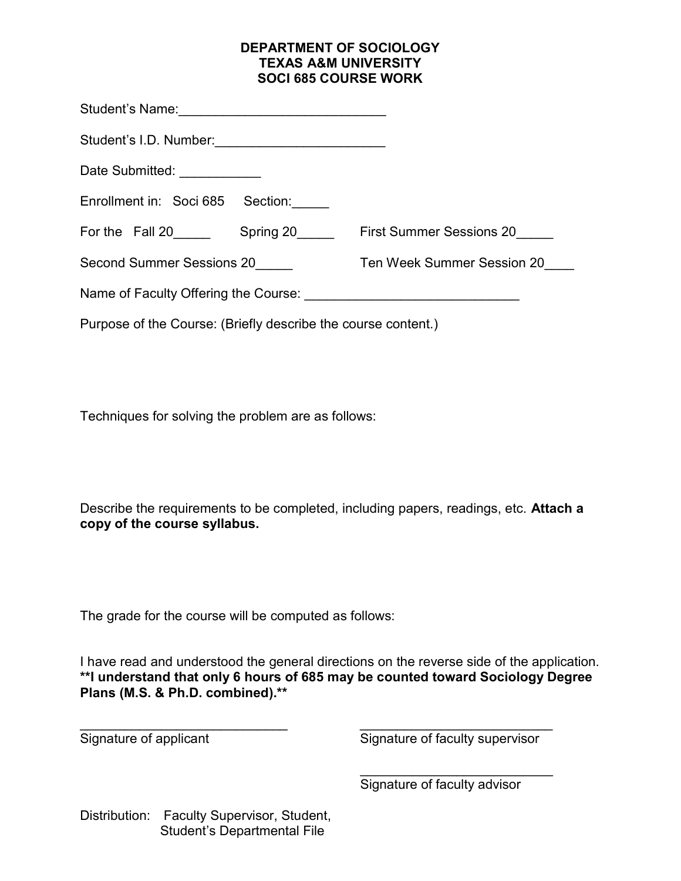## DEPARTMENT OF SOCIOLOGY TEXAS A&M UNIVERSITY SOCI 685 COURSE WORK

| Date Submitted: ____________                                  |                            |
|---------------------------------------------------------------|----------------------------|
| Enrollment in: Soci 685<br>Section:                           |                            |
| For the Fall 20 Spring 20 First Summer Sessions 20            |                            |
| Second Summer Sessions 20                                     | Ten Week Summer Session 20 |
|                                                               |                            |
| Purpose of the Course: (Briefly describe the course content.) |                            |

Techniques for solving the problem are as follows:

Describe the requirements to be completed, including papers, readings, etc. Attach a copy of the course syllabus.

The grade for the course will be computed as follows:

I have read and understood the general directions on the reverse side of the application. \*\*I understand that only 6 hours of 685 may be counted toward Sociology Degree Plans (M.S. & Ph.D. combined).\*\*

 $\mathcal{L}_\text{max}$  , and the contract of the contract of the contract of the contract of the contract of the contract of the contract of the contract of the contract of the contract of the contract of the contract of the contr Signature of applicant Signature of faculty supervisor

\_\_\_\_\_\_\_\_\_\_\_\_\_\_\_\_\_\_\_\_\_\_\_\_\_\_

Signature of faculty advisor

Distribution: Faculty Supervisor, Student, Student's Departmental File